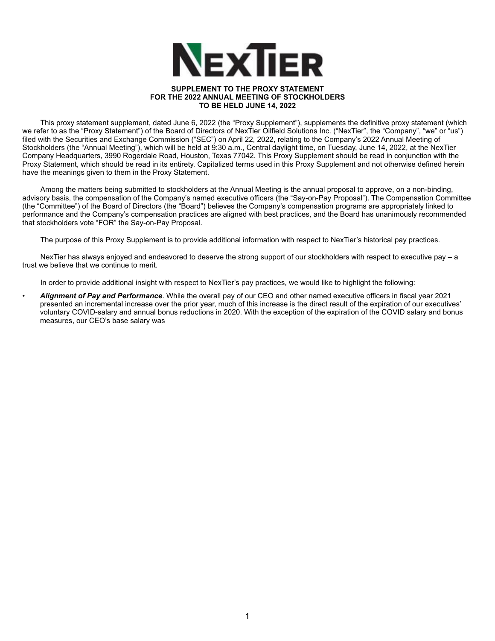

## **SUPPLEMENT TO THE PROXY STATEMENT FOR THE 2022 ANNUAL MEETING OF STOCKHOLDERS TO BE HELD JUNE 14, 2022**

This proxy statement supplement, dated June 6, 2022 (the "Proxy Supplement"), supplements the definitive proxy statement (which we refer to as the "Proxy Statement") of the Board of Directors of NexTier Oilfield Solutions Inc. ("NexTier", the "Company", "we" or "us") filed with the Securities and Exchange Commission ("SEC") on April 22, 2022, relating to the Company's 2022 Annual Meeting of Stockholders (the "Annual Meeting"), which will be held at 9:30 a.m., Central daylight time, on Tuesday, June 14, 2022, at the NexTier Company Headquarters, 3990 Rogerdale Road, Houston, Texas 77042. This Proxy Supplement should be read in conjunction with the Proxy Statement, which should be read in its entirety. Capitalized terms used in this Proxy Supplement and not otherwise defined herein have the meanings given to them in the Proxy Statement.

Among the matters being submitted to stockholders at the Annual Meeting is the annual proposal to approve, on a non-binding, advisory basis, the compensation of the Company's named executive officers (the "Say-on-Pay Proposal"). The Compensation Committee (the "Committee") of the Board of Directors (the "Board") believes the Company's compensation programs are appropriately linked to performance and the Company's compensation practices are aligned with best practices, and the Board has unanimously recommended that stockholders vote "FOR" the Say-on-Pay Proposal.

The purpose of this Proxy Supplement is to provide additional information with respect to NexTier's historical pay practices.

NexTier has always enjoyed and endeavored to deserve the strong support of our stockholders with respect to executive pay – a trust we believe that we continue to merit.

In order to provide additional insight with respect to NexTier's pay practices, we would like to highlight the following:

• *Alignment of Pay and Performance*. While the overall pay of our CEO and other named executive officers in fiscal year 2021 presented an incremental increase over the prior year, much of this increase is the direct result of the expiration of our executives' voluntary COVID-salary and annual bonus reductions in 2020. With the exception of the expiration of the COVID salary and bonus measures, our CEO's base salary was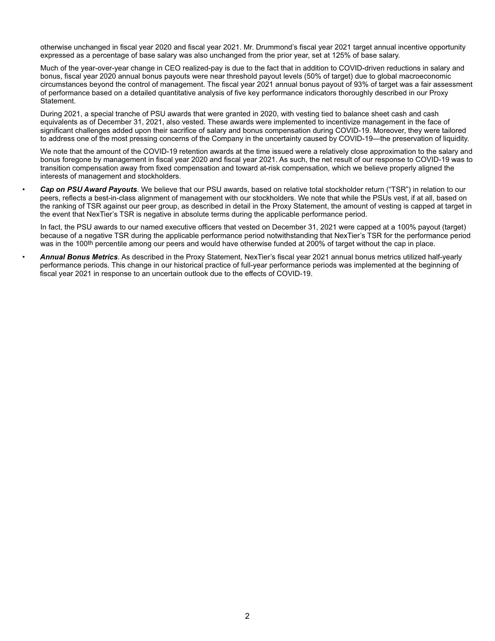otherwise unchanged in fiscal year 2020 and fiscal year 2021. Mr. Drummond's fiscal year 2021 target annual incentive opportunity expressed as a percentage of base salary was also unchanged from the prior year, set at 125% of base salary.

Much of the year-over-year change in CEO realized-pay is due to the fact that in addition to COVID-driven reductions in salary and bonus, fiscal year 2020 annual bonus payouts were near threshold payout levels (50% of target) due to global macroeconomic circumstances beyond the control of management. The fiscal year 2021 annual bonus payout of 93% of target was a fair assessment of performance based on a detailed quantitative analysis of five key performance indicators thoroughly described in our Proxy Statement.

During 2021, a special tranche of PSU awards that were granted in 2020, with vesting tied to balance sheet cash and cash equivalents as of December 31, 2021, also vested. These awards were implemented to incentivize management in the face of significant challenges added upon their sacrifice of salary and bonus compensation during COVID-19. Moreover, they were tailored to address one of the most pressing concerns of the Company in the uncertainty caused by COVID-19—the preservation of liquidity.

We note that the amount of the COVID-19 retention awards at the time issued were a relatively close approximation to the salary and bonus foregone by management in fiscal year 2020 and fiscal year 2021. As such, the net result of our response to COVID-19 was to transition compensation away from fixed compensation and toward at-risk compensation, which we believe properly aligned the interests of management and stockholders.

• *Cap on PSU Award Payouts*. We believe that our PSU awards, based on relative total stockholder return ("TSR") in relation to our peers, reflects a best-in-class alignment of management with our stockholders. We note that while the PSUs vest, if at all, based on the ranking of TSR against our peer group, as described in detail in the Proxy Statement, the amount of vesting is capped at target in the event that NexTier's TSR is negative in absolute terms during the applicable performance period.

In fact, the PSU awards to our named executive officers that vested on December 31, 2021 were capped at a 100% payout (target) because of a negative TSR during the applicable performance period notwithstanding that NexTier's TSR for the performance period was in the 100<sup>th</sup> percentile among our peers and would have otherwise funded at 200% of target without the cap in place.

• *Annual Bonus Metrics*. As described in the Proxy Statement, NexTier's fiscal year 2021 annual bonus metrics utilized half-yearly performance periods. This change in our historical practice of full-year performance periods was implemented at the beginning of fiscal year 2021 in response to an uncertain outlook due to the effects of COVID-19.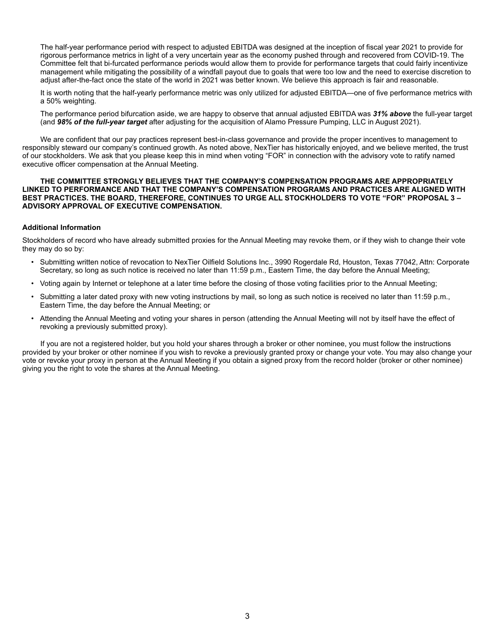The half-year performance period with respect to adjusted EBITDA was designed at the inception of fiscal year 2021 to provide for rigorous performance metrics in light of a very uncertain year as the economy pushed through and recovered from COVID-19. The Committee felt that bi-furcated performance periods would allow them to provide for performance targets that could fairly incentivize management while mitigating the possibility of a windfall payout due to goals that were too low and the need to exercise discretion to adjust after-the-fact once the state of the world in 2021 was better known. We believe this approach is fair and reasonable.

It is worth noting that the half-yearly performance metric was only utilized for adjusted EBITDA—one of five performance metrics with a 50% weighting.

The performance period bifurcation aside, we are happy to observe that annual adjusted EBITDA was *31% above* the full-year target (and *98% of the full-year target* after adjusting for the acquisition of Alamo Pressure Pumping, LLC in August 2021).

We are confident that our pay practices represent best-in-class governance and provide the proper incentives to management to responsibly steward our company's continued growth. As noted above, NexTier has historically enjoyed, and we believe merited, the trust of our stockholders. We ask that you please keep this in mind when voting "FOR" in connection with the advisory vote to ratify named executive officer compensation at the Annual Meeting.

## **THE COMMITTEE STRONGLY BELIEVES THAT THE COMPANY'S COMPENSATION PROGRAMS ARE APPROPRIATELY LINKED TO PERFORMANCE AND THAT THE COMPANY'S COMPENSATION PROGRAMS AND PRACTICES ARE ALIGNED WITH BEST PRACTICES. THE BOARD, THEREFORE, CONTINUES TO URGE ALL STOCKHOLDERS TO VOTE "FOR" PROPOSAL 3 – ADVISORY APPROVAL OF EXECUTIVE COMPENSATION.**

## **Additional Information**

Stockholders of record who have already submitted proxies for the Annual Meeting may revoke them, or if they wish to change their vote they may do so by:

- Submitting written notice of revocation to NexTier Oilfield Solutions Inc., 3990 Rogerdale Rd, Houston, Texas 77042, Attn: Corporate Secretary, so long as such notice is received no later than 11:59 p.m., Eastern Time, the day before the Annual Meeting;
- Voting again by Internet or telephone at a later time before the closing of those voting facilities prior to the Annual Meeting;
- Submitting a later dated proxy with new voting instructions by mail, so long as such notice is received no later than 11:59 p.m., Eastern Time, the day before the Annual Meeting; or
- Attending the Annual Meeting and voting your shares in person (attending the Annual Meeting will not by itself have the effect of revoking a previously submitted proxy).

If you are not a registered holder, but you hold your shares through a broker or other nominee, you must follow the instructions provided by your broker or other nominee if you wish to revoke a previously granted proxy or change your vote. You may also change your vote or revoke your proxy in person at the Annual Meeting if you obtain a signed proxy from the record holder (broker or other nominee) giving you the right to vote the shares at the Annual Meeting.